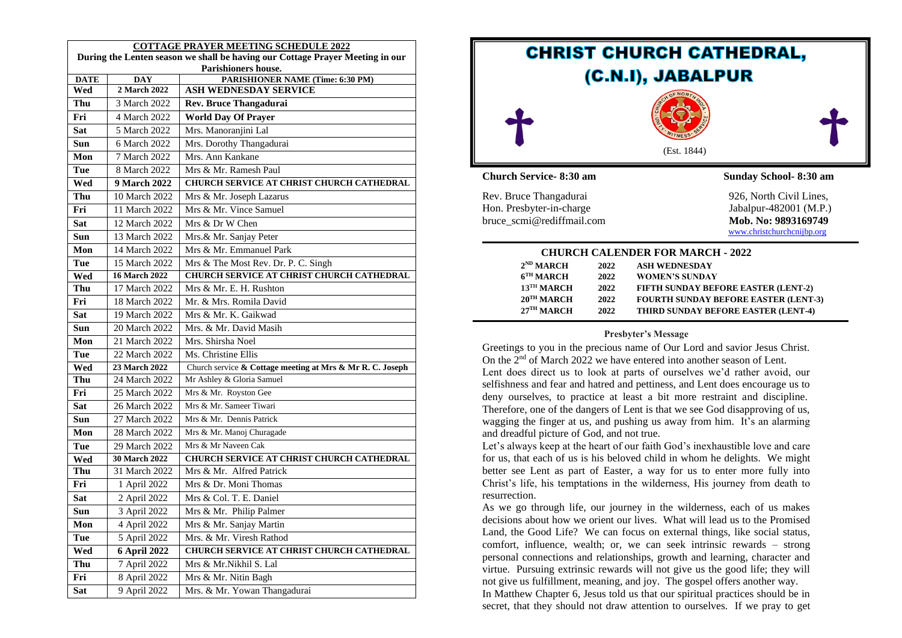| <b>COTTAGE PRAYER MEETING SCHEDULE 2022</b>                                   |                            |                                                                  |  |  |
|-------------------------------------------------------------------------------|----------------------------|------------------------------------------------------------------|--|--|
| During the Lenten season we shall be having our Cottage Prayer Meeting in our |                            |                                                                  |  |  |
| Parishioners house.                                                           |                            |                                                                  |  |  |
| <b>DATE</b><br>Wed                                                            | <b>DAY</b><br>2 March 2022 | <b>PARISHIONER NAME (Time: 6:30 PM)</b><br>ASH WEDNESDAY SERVICE |  |  |
| Thu                                                                           | 3 March 2022               | Rev. Bruce Thangadurai                                           |  |  |
|                                                                               |                            |                                                                  |  |  |
| Fri                                                                           | 4 March 2022               | <b>World Day Of Prayer</b>                                       |  |  |
| Sat                                                                           | 5 March 2022               | Mrs. Manoranjini Lal                                             |  |  |
| Sun                                                                           | 6 March 2022               | Mrs. Dorothy Thangadurai                                         |  |  |
| Mon                                                                           | 7 March 2022               | Mrs. Ann Kankane                                                 |  |  |
| Tue                                                                           | 8 March 2022               | Mrs & Mr. Ramesh Paul                                            |  |  |
| Wed                                                                           | 9 March 2022               | <b>CHURCH SERVICE AT CHRIST CHURCH CATHEDRAL</b>                 |  |  |
| Thu                                                                           | 10 March 2022              | Mrs & Mr. Joseph Lazarus                                         |  |  |
| Fri                                                                           | 11 March 2022              | Mrs & Mr. Vince Samuel                                           |  |  |
| Sat                                                                           | 12 March 2022              | Mrs & Dr W Chen                                                  |  |  |
| Sun                                                                           | 13 March 2022              | Mrs.& Mr. Sanjay Peter                                           |  |  |
| Mon                                                                           | 14 March 2022              | Mrs & Mr. Emmanuel Park                                          |  |  |
| Tue                                                                           | 15 March 2022              | Mrs & The Most Rev. Dr. P. C. Singh                              |  |  |
| Wed                                                                           | <b>16 March 2022</b>       | CHURCH SERVICE AT CHRIST CHURCH CATHEDRAL                        |  |  |
| Thu                                                                           | 17 March 2022              | Mrs & Mr. E. H. Rushton                                          |  |  |
| Fri                                                                           | 18 March 2022              | Mr. & Mrs. Romila David                                          |  |  |
| <b>Sat</b>                                                                    | 19 March 2022              | Mrs & Mr. K. Gaikwad                                             |  |  |
| Sun                                                                           | 20 March 2022              | Mrs. & Mr. David Masih                                           |  |  |
| Mon                                                                           | 21 March 2022              | Mrs. Shirsha Noel                                                |  |  |
| Tue                                                                           | 22 March 2022              | Ms. Christine Ellis                                              |  |  |
| Wed                                                                           | 23 March 2022              | Church service $\&$ Cottage meeting at Mrs $\&$ Mr R. C. Joseph  |  |  |
| Thu                                                                           | 24 March 2022              | Mr Ashley & Gloria Samuel                                        |  |  |
| Fri                                                                           | 25 March 2022              | Mrs & Mr. Royston Gee                                            |  |  |
| <b>Sat</b>                                                                    | 26 March 2022              | Mrs & Mr. Sameer Tiwari                                          |  |  |
| Sun                                                                           | 27 March 2022              | Mrs & Mr. Dennis Patrick                                         |  |  |
| Mon                                                                           | 28 March 2022              | Mrs & Mr. Manoj Churagade                                        |  |  |
| Tue                                                                           | 29 March 2022              | Mrs & Mr Naveen Cak                                              |  |  |
| Wed                                                                           | 30 March 2022              | CHURCH SERVICE AT CHRIST CHURCH CATHEDRAL                        |  |  |
| Thu                                                                           | 31 March 2022              | Mrs & Mr. Alfred Patrick                                         |  |  |
| Fri                                                                           | 1 April 2022               | Mrs & Dr. Moni Thomas                                            |  |  |
| Sat                                                                           | 2 April 2022               | Mrs & Col. T. E. Daniel                                          |  |  |
| Sun                                                                           | 3 April 2022               | Mrs & Mr. Philip Palmer                                          |  |  |
| Mon                                                                           | 4 April 2022               | Mrs & Mr. Sanjay Martin                                          |  |  |
| Tue                                                                           | 5 April 2022               | Mrs. & Mr. Viresh Rathod                                         |  |  |
| Wed                                                                           | 6 April 2022               | CHURCH SERVICE AT CHRIST CHURCH CATHEDRAL                        |  |  |
| Thu                                                                           | 7 April 2022               | Mrs & Mr.Nikhil S. Lal                                           |  |  |
| Fri                                                                           | 8 April 2022               | Mrs & Mr. Nitin Bagh                                             |  |  |
| <b>Sat</b>                                                                    | 9 April 2022               | Mrs. & Mr. Yowan Thangadurai                                     |  |  |



| $2^{ND}$ MARCH           | 2022 | <b>ASH WEDNESDAY</b>                        |
|--------------------------|------|---------------------------------------------|
| $6TH$ MARCH              | 2022 | <b>WOMEN'S SUNDAY</b>                       |
| $13$ <sup>TH</sup> MARCH | 2022 | <b>FIFTH SUNDAY BEFORE EASTER (LENT-2)</b>  |
| $20^{\text{TH}}$ MARCH   | 2022 | <b>FOURTH SUNDAY BEFORE EASTER (LENT-3)</b> |
| $27^{\text{TH}}$ MARCH   | 2022 | THIRD SUNDAY BEFORE EASTER (LENT-4)         |
|                          |      |                                             |

#### **Presbyter's Message**

Greetings to you in the precious name of Our Lord and savior Jesus Christ. On the  $2<sup>nd</sup>$  of March 2022 we have entered into another season of Lent. Lent does direct us to look at parts of ourselves we'd rather avoid, our selfishness and fear and hatred and pettiness, and Lent does encourage us to deny ourselves, to practice at least a bit more restraint and discipline. Therefore, one of the dangers of Lent is that we see God disapproving of us, wagging the finger at us, and pushing us away from him. It's an alarming and dreadful picture of God, and not true.

Let's always keep at the heart of our faith God's inexhaustible love and care for us, that each of us is his beloved child in whom he delights. We might better see Lent as part of Easter, a way for us to enter more fully into Christ's life, his temptations in the wilderness, His journey from death to resurrection.

As we go through life, our journey in the wilderness, each of us makes decisions about how we orient our lives. What will lead us to the Promised Land, the Good Life? We can focus on external things, like social status, comfort, influence, wealth; or, we can seek intrinsic rewards – strong personal connections and relationships, growth and learning, character and virtue. Pursuing extrinsic rewards will not give us the good life; they will not give us fulfillment, meaning, and joy. The gospel offers another way.

In Matthew Chapter 6, Jesus told us that our spiritual practices should be in secret, that they should not draw attention to ourselves. If we pray to get